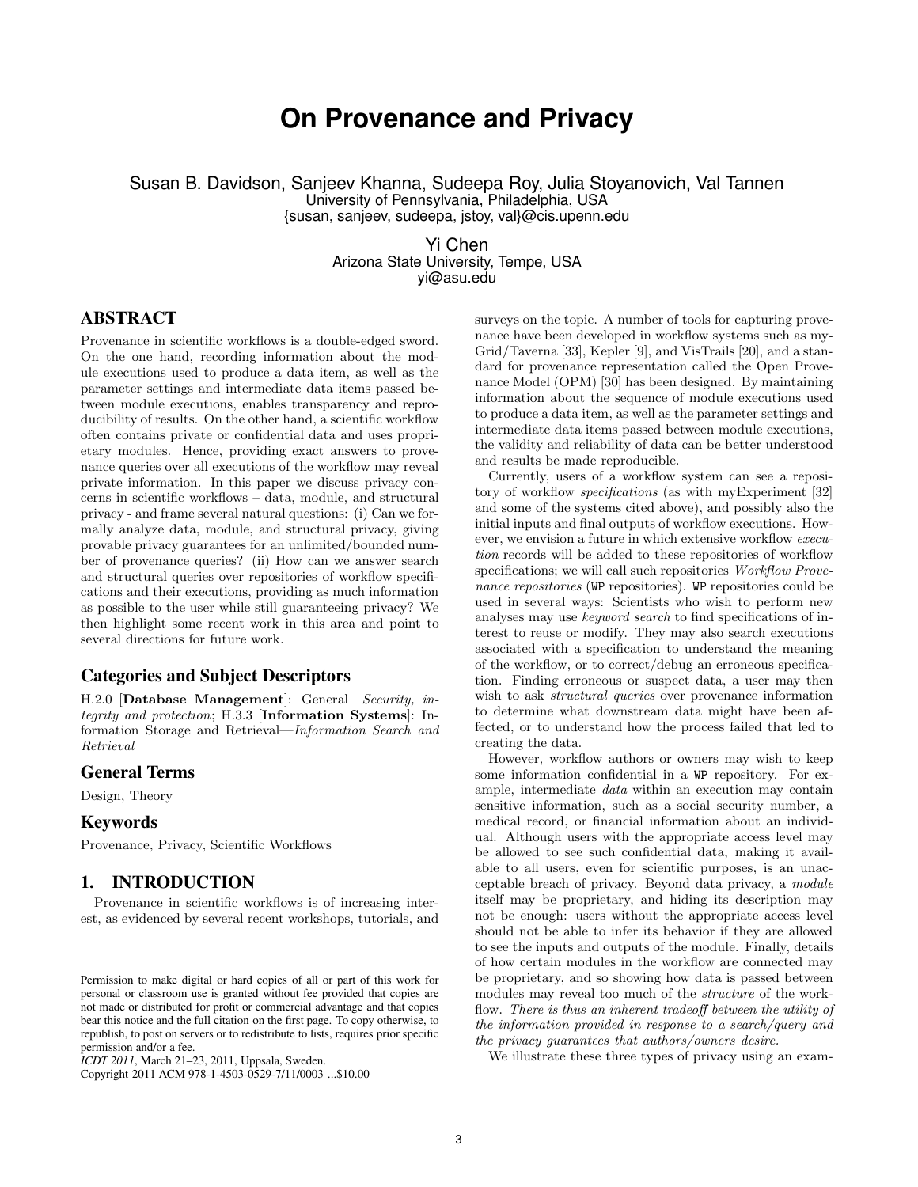# **On Provenance and Privacy**

Susan B. Davidson, Sanjeev Khanna, Sudeepa Roy, Julia Stoyanovich, Val Tannen University of Pennsylvania, Philadelphia, USA {susan, sanjeev, sudeepa, jstoy, val}@cis.upenn.edu

> Yi Chen Arizona State University, Tempe, USA yi@asu.edu

# **ABSTRACT**

Provenance in scientific workflows is a double-edged sword. On the one hand, recording information about the module executions used to produce a data item, as well as the parameter settings and intermediate data items passed between module executions, enables transparency and reproducibility of results. On the other hand, a scientific workflow often contains private or confidential data and uses proprietary modules. Hence, providing exact answers to provenance queries over all executions of the workflow may reveal private information. In this paper we discuss privacy concerns in scientific workflows – data, module, and structural privacy - and frame several natural questions: (i) Can we formally analyze data, module, and structural privacy, giving provable privacy guarantees for an unlimited/bounded number of provenance queries? (ii) How can we answer search and structural queries over repositories of workflow specifications and their executions, providing as much information as possible to the user while still guaranteeing privacy? We then highlight some recent work in this area and point to several directions for future work.

# **Categories and Subject Descriptors**

H.2.0 [Database Management]: General—Security, integrity and protection; H.3.3 [Information Systems]: Information Storage and Retrieval—Information Search and Retrieval

#### **General Terms**

Design, Theory

#### **Keywords**

Provenance, Privacy, Scientific Workflows

## **1. INTRODUCTION**

Provenance in scientific workflows is of increasing interest, as evidenced by several recent workshops, tutorials, and

Copyright 2011 ACM 978-1-4503-0529-7/11/0003 ...\$10.00

surveys on the topic. A number of tools for capturing provenance have been developed in workflow systems such as my-Grid/Taverna [33], Kepler [9], and VisTrails [20], and a standard for provenance representation called the Open Provenance Model (OPM) [30] has been designed. By maintaining information about the sequence of module executions used to produce a data item, as well as the parameter settings and intermediate data items passed between module executions, the validity and reliability of data can be better understood and results be made reproducible.

Currently, users of a workflow system can see a repository of workflow specifications (as with myExperiment [32] and some of the systems cited above), and possibly also the initial inputs and final outputs of workflow executions. However, we envision a future in which extensive workflow execution records will be added to these repositories of workflow specifications; we will call such repositories Workflow Provenance repositories (WP repositories). WP repositories could be used in several ways: Scientists who wish to perform new analyses may use keyword search to find specifications of interest to reuse or modify. They may also search executions associated with a specification to understand the meaning of the workflow, or to correct/debug an erroneous specification. Finding erroneous or suspect data, a user may then wish to ask *structural queries* over provenance information to determine what downstream data might have been affected, or to understand how the process failed that led to creating the data.

However, workflow authors or owners may wish to keep some information confidential in a WP repository. For example, intermediate data within an execution may contain sensitive information, such as a social security number, a medical record, or financial information about an individual. Although users with the appropriate access level may be allowed to see such confidential data, making it available to all users, even for scientific purposes, is an unacceptable breach of privacy. Beyond data privacy, a module itself may be proprietary, and hiding its description may not be enough: users without the appropriate access level should not be able to infer its behavior if they are allowed to see the inputs and outputs of the module. Finally, details of how certain modules in the workflow are connected may be proprietary, and so showing how data is passed between modules may reveal too much of the *structure* of the workflow. There is thus an inherent tradeoff between the utility of the information provided in response to a search/query and the privacy guarantees that authors/owners desire.

We illustrate these three types of privacy using an exam-

Permission to make digital or hard copies of all or part of this work for personal or classroom use is granted without fee provided that copies are not made or distributed for profit or commercial advantage and that copies bear this notice and the full citation on the first page. To copy otherwise, to republish, to post on servers or to redistribute to lists, requires prior specific permission and/or a fee.

*ICDT 2011*, March 21–23, 2011, Uppsala, Sweden.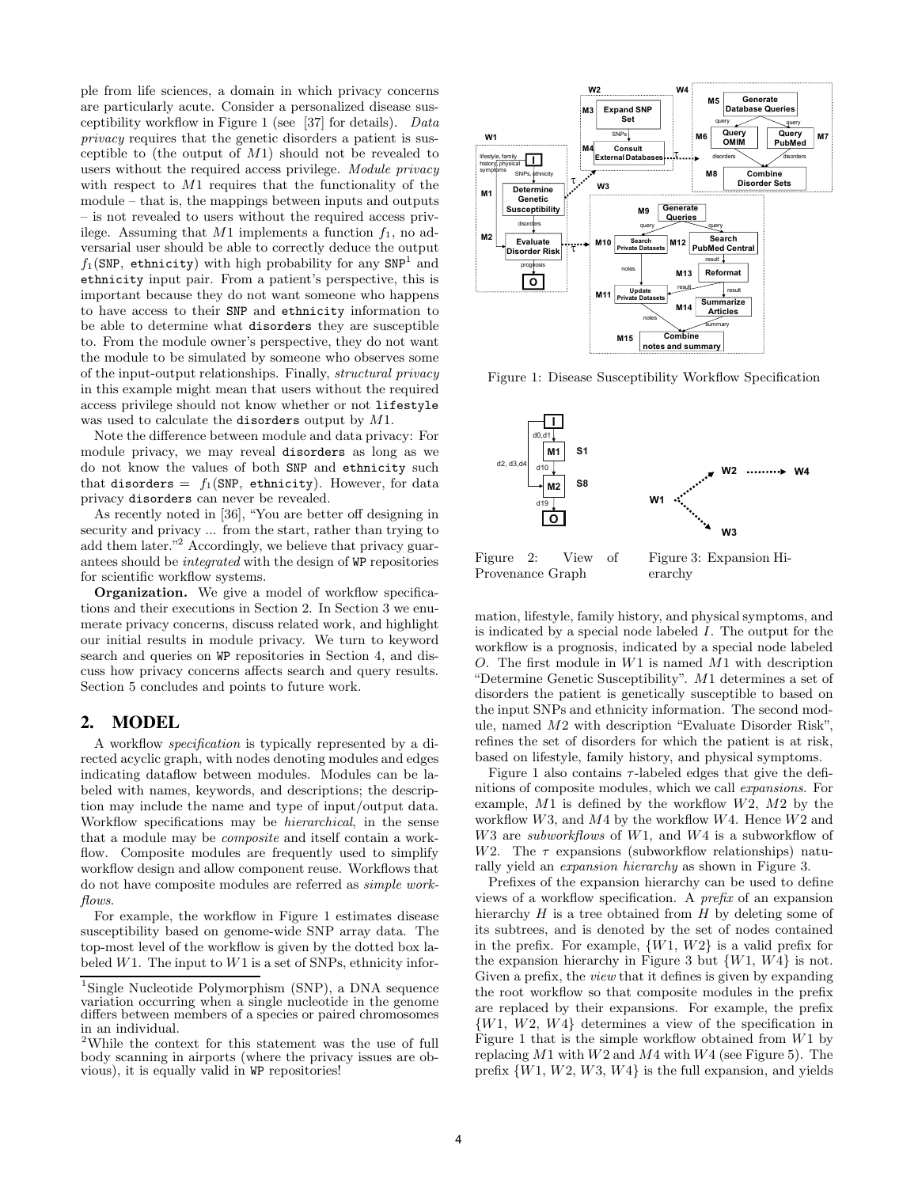ple from life sciences, a domain in which privacy concerns are particularly acute. Consider a personalized disease susceptibility workflow in Figure 1 (see [37] for details). Data privacy requires that the genetic disorders a patient is susceptible to (the output of  $M_1$ ) should not be revealed to users without the required access privilege. Module privacy with respect to  $M1$  requires that the functionality of the module – that is, the mappings between inputs and outputs – is not revealed to users without the required access privilege. Assuming that  $M1$  implements a function  $f_1$ , no adversarial user should be able to correctly deduce the output  $f_1(\text{SNP}, \text{ ethnicity})$  with high probability for any  $\text{SNP}^1$  and ethnicity input pair. From a patient's perspective, this is important because they do not want someone who happens to have access to their SNP and ethnicity information to be able to determine what disorders they are susceptible to. From the module owner's perspective, they do not want the module to be simulated by someone who observes some of the input-output relationships. Finally, structural privacy in this example might mean that users without the required access privilege should not know whether or not lifestyle was used to calculate the disorders output by M1.

Note the difference between module and data privacy: For module privacy, we may reveal disorders as long as we do not know the values of both SNP and ethnicity such that disorders =  $f_1(SNP,$  ethnicity). However, for data privacy disorders can never be revealed.

As recently noted in [36], "You are better off designing in security and privacy ... from the start, rather than trying to add them later."<sup>2</sup> Accordingly, we believe that privacy guarantees should be integrated with the design of WP repositories for scientific workflow systems.

Organization. We give a model of workflow specifications and their executions in Section 2. In Section 3 we enumerate privacy concerns, discuss related work, and highlight our initial results in module privacy. We turn to keyword search and queries on WP repositories in Section 4, and discuss how privacy concerns affects search and query results. Section 5 concludes and points to future work.

#### **2. MODEL**

A workflow specification is typically represented by a directed acyclic graph, with nodes denoting modules and edges indicating dataflow between modules. Modules can be labeled with names, keywords, and descriptions; the description may include the name and type of input/output data. Workflow specifications may be hierarchical, in the sense that a module may be composite and itself contain a workflow. Composite modules are frequently used to simplify workflow design and allow component reuse. Workflows that do not have composite modules are referred as simple workflows.

For example, the workflow in Figure 1 estimates disease susceptibility based on genome-wide SNP array data. The top-most level of the workflow is given by the dotted box labeled  $W1$ . The input to  $W1$  is a set of SNPs, ethnicity infor-



Figure 1: Disease Susceptibility Workflow Specification



mation, lifestyle, family history, and physical symptoms, and is indicated by a special node labeled I. The output for the workflow is a prognosis, indicated by a special node labeled O. The first module in  $W1$  is named  $M1$  with description "Determine Genetic Susceptibility". M1 determines a set of disorders the patient is genetically susceptible to based on the input SNPs and ethnicity information. The second module, named M2 with description "Evaluate Disorder Risk", refines the set of disorders for which the patient is at risk, based on lifestyle, family history, and physical symptoms.

Figure 1 also contains  $\tau$ -labeled edges that give the definitions of composite modules, which we call expansions. For example,  $M1$  is defined by the workflow  $W2$ ,  $M2$  by the workflow  $W3$ , and  $M4$  by the workflow  $W4$ . Hence  $W2$  and W3 are *subworkflows* of W1, and W4 is a subworkflow of W2. The  $\tau$  expansions (subworkflow relationships) naturally yield an expansion hierarchy as shown in Figure 3.

Prefixes of the expansion hierarchy can be used to define views of a workflow specification. A prefix of an expansion hierarchy  $H$  is a tree obtained from  $H$  by deleting some of its subtrees, and is denoted by the set of nodes contained in the prefix. For example,  $\{W1, W2\}$  is a valid prefix for the expansion hierarchy in Figure 3 but  $\{W_1, W_4\}$  is not. Given a prefix, the view that it defines is given by expanding the root workflow so that composite modules in the prefix are replaced by their expansions. For example, the prefix  $\{W1, W2, W4\}$  determines a view of the specification in Figure 1 that is the simple workflow obtained from  $W1$  by replacing  $M1$  with  $W2$  and  $M4$  with  $W4$  (see Figure 5). The prefix  $\{W1, W2, W3, W4\}$  is the full expansion, and yields

<sup>&</sup>lt;sup>1</sup>Single Nucleotide Polymorphism (SNP), a DNA sequence variation occurring when a single nucleotide in the genome differs between members of a species or paired chromosomes in an individual.

<sup>2</sup>While the context for this statement was the use of full body scanning in airports (where the privacy issues are obvious), it is equally valid in WP repositories!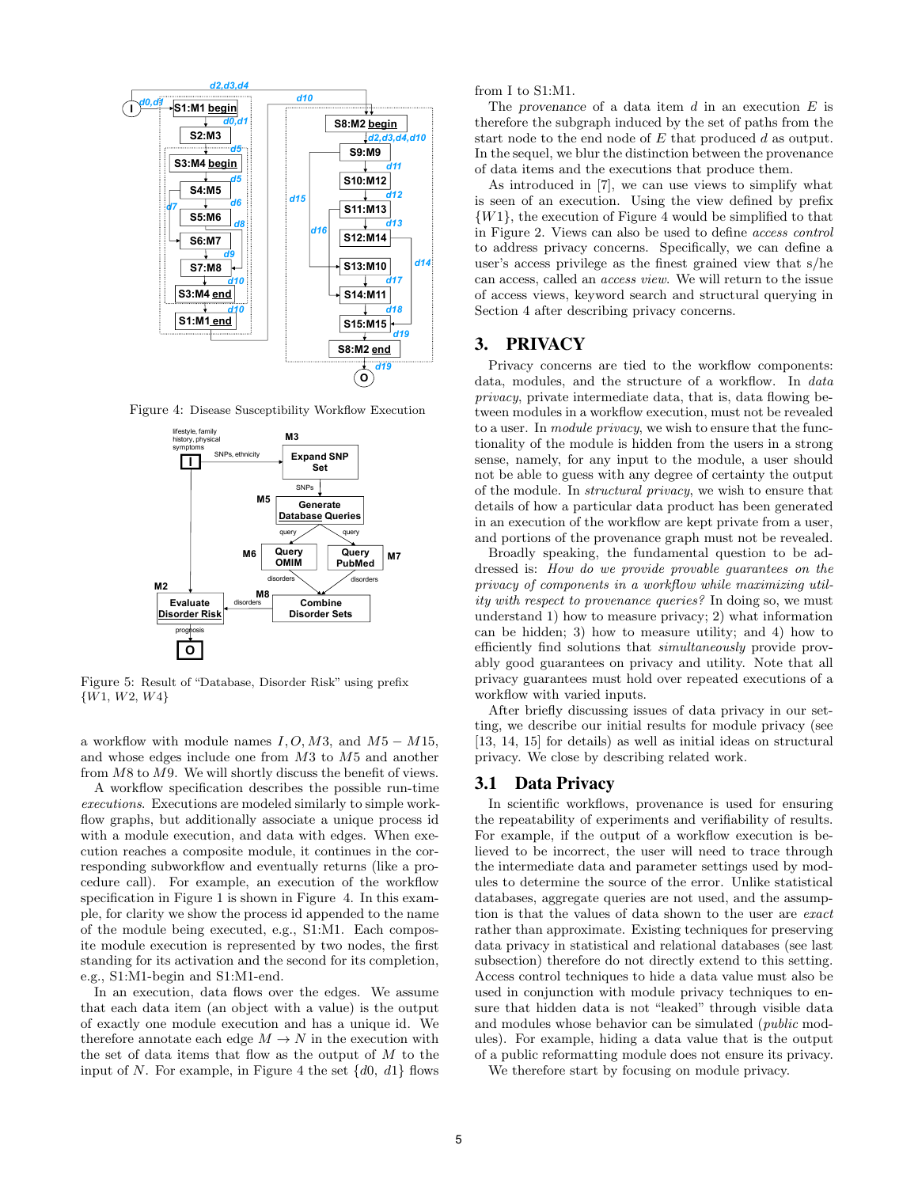

Figure 4: Disease Susceptibility Workflow Execution



Figure 5: Result of "Database, Disorder Risk" using prefix {W1, W2, W4}

a workflow with module names  $I, O, M3$ , and  $M5 - M15$ , and whose edges include one from M3 to M5 and another from M8 to M9. We will shortly discuss the benefit of views.

A workflow specification describes the possible run-time executions. Executions are modeled similarly to simple workflow graphs, but additionally associate a unique process id with a module execution, and data with edges. When execution reaches a composite module, it continues in the corresponding subworkflow and eventually returns (like a procedure call). For example, an execution of the workflow specification in Figure 1 is shown in Figure 4. In this example, for clarity we show the process id appended to the name of the module being executed, e.g., S1:M1. Each composite module execution is represented by two nodes, the first standing for its activation and the second for its completion, e.g., S1:M1-begin and S1:M1-end.

In an execution, data flows over the edges. We assume that each data item (an object with a value) is the output of exactly one module execution and has a unique id. We therefore annotate each edge  $M \to N$  in the execution with the set of data items that flow as the output of  $M$  to the input of N. For example, in Figure 4 the set  $\{d0, d1\}$  flows

from I to S1:M1.

The provenance of a data item  $d$  in an execution  $E$  is therefore the subgraph induced by the set of paths from the start node to the end node of E that produced d as output. In the sequel, we blur the distinction between the provenance of data items and the executions that produce them.

As introduced in [7], we can use views to simplify what is seen of an execution. Using the view defined by prefix  $\{W_1\}$ , the execution of Figure 4 would be simplified to that in Figure 2. Views can also be used to define access control to address privacy concerns. Specifically, we can define a user's access privilege as the finest grained view that s/he can access, called an access view. We will return to the issue of access views, keyword search and structural querying in Section 4 after describing privacy concerns.

#### **3. PRIVACY**

Privacy concerns are tied to the workflow components: data, modules, and the structure of a workflow. In data privacy, private intermediate data, that is, data flowing between modules in a workflow execution, must not be revealed to a user. In module privacy, we wish to ensure that the functionality of the module is hidden from the users in a strong sense, namely, for any input to the module, a user should not be able to guess with any degree of certainty the output of the module. In structural privacy, we wish to ensure that details of how a particular data product has been generated in an execution of the workflow are kept private from a user, and portions of the provenance graph must not be revealed.

Broadly speaking, the fundamental question to be addressed is: How do we provide provable guarantees on the privacy of components in a workflow while maximizing utility with respect to provenance queries? In doing so, we must understand 1) how to measure privacy; 2) what information can be hidden; 3) how to measure utility; and 4) how to efficiently find solutions that simultaneously provide provably good guarantees on privacy and utility. Note that all privacy guarantees must hold over repeated executions of a workflow with varied inputs.

After briefly discussing issues of data privacy in our setting, we describe our initial results for module privacy (see [13, 14, 15] for details) as well as initial ideas on structural privacy. We close by describing related work.

#### **3.1 Data Privacy**

In scientific workflows, provenance is used for ensuring the repeatability of experiments and verifiability of results. For example, if the output of a workflow execution is believed to be incorrect, the user will need to trace through the intermediate data and parameter settings used by modules to determine the source of the error. Unlike statistical databases, aggregate queries are not used, and the assumption is that the values of data shown to the user are exact rather than approximate. Existing techniques for preserving data privacy in statistical and relational databases (see last subsection) therefore do not directly extend to this setting. Access control techniques to hide a data value must also be used in conjunction with module privacy techniques to ensure that hidden data is not "leaked" through visible data and modules whose behavior can be simulated (public modules). For example, hiding a data value that is the output of a public reformatting module does not ensure its privacy.

We therefore start by focusing on module privacy.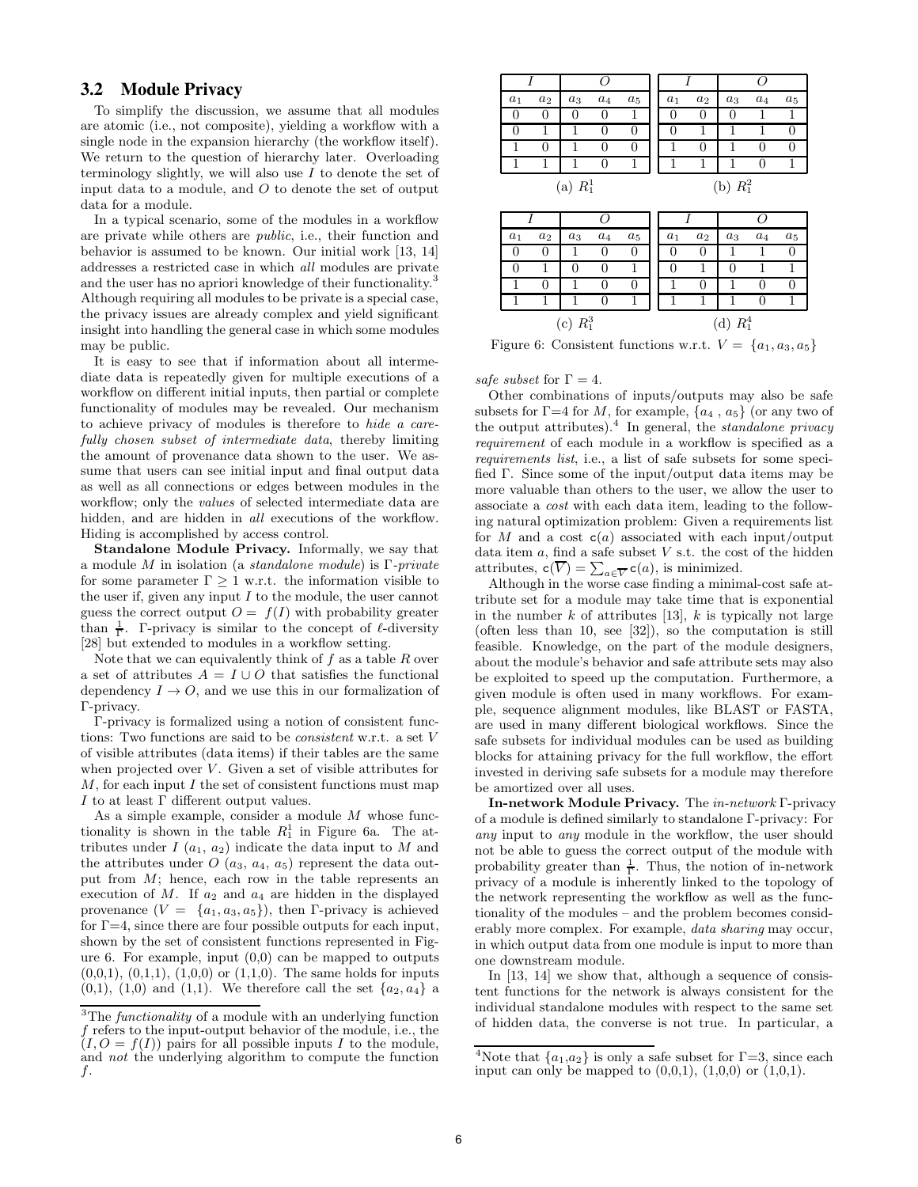# **3.2 Module Privacy**

To simplify the discussion, we assume that all modules are atomic (i.e., not composite), yielding a workflow with a single node in the expansion hierarchy (the workflow itself). We return to the question of hierarchy later. Overloading terminology slightly, we will also use  $I$  to denote the set of input data to a module, and O to denote the set of output data for a module.

In a typical scenario, some of the modules in a workflow are private while others are public, i.e., their function and behavior is assumed to be known. Our initial work [13, 14] addresses a restricted case in which all modules are private and the user has no apriori knowledge of their functionality.<sup>3</sup> Although requiring all modules to be private is a special case, the privacy issues are already complex and yield significant insight into handling the general case in which some modules may be public.

It is easy to see that if information about all intermediate data is repeatedly given for multiple executions of a workflow on different initial inputs, then partial or complete functionality of modules may be revealed. Our mechanism to achieve privacy of modules is therefore to hide a carefully chosen subset of intermediate data, thereby limiting the amount of provenance data shown to the user. We assume that users can see initial input and final output data as well as all connections or edges between modules in the workflow; only the values of selected intermediate data are hidden, and are hidden in all executions of the workflow. Hiding is accomplished by access control.

Standalone Module Privacy. Informally, we say that a module M in isolation (a *standalone module*) is  $\Gamma$ -*private* for some parameter  $\Gamma \geq 1$  w.r.t. the information visible to the user if, given any input  $I$  to the module, the user cannot guess the correct output  $O = f(I)$  with probability greater than  $\frac{1}{\Gamma}$ . Γ-privacy is similar to the concept of  $\ell$ -diversity [28] but extended to modules in a workflow setting.

Note that we can equivalently think of  $f$  as a table  $R$  over a set of attributes  $A = I \cup O$  that satisfies the functional dependency  $I \rightarrow O$ , and we use this in our formalization of Γ-privacy.

Γ-privacy is formalized using a notion of consistent functions: Two functions are said to be *consistent* w.r.t. a set  $V$ of visible attributes (data items) if their tables are the same when projected over  $V$ . Given a set of visible attributes for  $M$ , for each input  $I$  the set of consistent functions must map I to at least Γ different output values.

As a simple example, consider a module  $M$  whose functionality is shown in the table  $R_1^1$  in Figure 6a. The attributes under  $I(a_1, a_2)$  indicate the data input to  $M$  and the attributes under  $O(a_3, a_4, a_5)$  represent the data output from  $M$ ; hence, each row in the table represents an execution of  $M$ . If  $a_2$  and  $a_4$  are hidden in the displayed provenance  $(V = \{a_1, a_3, a_5\})$ , then Γ-privacy is achieved for  $\Gamma = 4$ , since there are four possible outputs for each input, shown by the set of consistent functions represented in Figure 6. For example, input  $(0,0)$  can be mapped to outputs  $(0,0,1), (0,1,1), (1,0,0)$  or  $(1,1,0)$ . The same holds for inputs  $(0,1), (1,0)$  and  $(1,1)$ . We therefore call the set  $\{a_2, a_4\}$  a

| $a_1$        | $a_2$ | $a_3$ | $a_4$ | $a_5$       | $a_1$ | $a_2$    | $a_3$ | $a_4$        | $a_5$ |
|--------------|-------|-------|-------|-------------|-------|----------|-------|--------------|-------|
| $\mathbf{0}$ |       |       |       |             |       | $\theta$ |       |              |       |
| 0            |       |       |       | $^{(1)}$    |       |          |       |              |       |
|              |       |       |       | O           |       | 0        |       | $\mathbf{0}$ |       |
|              |       |       |       |             |       |          |       |              |       |
| (a) $R_1^1$  |       |       |       | (b) $R_1^2$ |       |          |       |              |       |

| ì | n<br>п<br>٠ |  |
|---|-------------|--|
|   |             |  |

| a <sub>1</sub> | $a_2$ | $a_3$ | a <sub>4</sub> | $a_5$ | a <sub>1</sub> | $a_2$    | $a_3$ | $a_4$ | $a_5$ |
|----------------|-------|-------|----------------|-------|----------------|----------|-------|-------|-------|
| 0              |       |       | $\mathbf{0}$   |       | $\mathbf{0}$   | $^{(1)}$ |       |       |       |
|                |       |       |                |       |                |          |       |       |       |
|                |       |       |                |       |                |          |       |       |       |
|                |       |       |                |       |                |          |       |       |       |
| (c) $R_1^3$    |       |       |                |       | (d) $R_1^4$    |          |       |       |       |

Figure 6: Consistent functions w.r.t.  $V = \{a_1, a_3, a_5\}$ 

safe subset for  $\Gamma = 4$ .

Other combinations of inputs/outputs may also be safe subsets for  $\Gamma = 4$  for M, for example,  $\{a_4, a_5\}$  (or any two of the output attributes).<sup>4</sup> In general, the *standalone privacy* requirement of each module in a workflow is specified as a requirements list, i.e., a list of safe subsets for some specified Γ. Since some of the input/output data items may be more valuable than others to the user, we allow the user to associate a cost with each data item, leading to the following natural optimization problem: Given a requirements list for M and a cost  $c(a)$  associated with each input/output data item  $a$ , find a safe subset  $V$  s.t. the cost of the hidden attributes,  $\mathsf{c}(V) = \sum_{a \in \overline{V}} \mathsf{c}(a)$ , is minimized.

Although in the worse case finding a minimal-cost safe attribute set for a module may take time that is exponential in the number  $k$  of attributes [13],  $k$  is typically not large (often less than 10, see [32]), so the computation is still feasible. Knowledge, on the part of the module designers, about the module's behavior and safe attribute sets may also be exploited to speed up the computation. Furthermore, a given module is often used in many workflows. For example, sequence alignment modules, like BLAST or FASTA, are used in many different biological workflows. Since the safe subsets for individual modules can be used as building blocks for attaining privacy for the full workflow, the effort invested in deriving safe subsets for a module may therefore be amortized over all uses.

In-network Module Privacy. The in-network Γ-privacy of a module is defined similarly to standalone Γ-privacy: For any input to any module in the workflow, the user should not be able to guess the correct output of the module with probability greater than  $\frac{1}{\Gamma}$ . Thus, the notion of in-network privacy of a module is inherently linked to the topology of the network representing the workflow as well as the functionality of the modules – and the problem becomes considerably more complex. For example, data sharing may occur, in which output data from one module is input to more than one downstream module.

In [13, 14] we show that, although a sequence of consistent functions for the network is always consistent for the individual standalone modules with respect to the same set of hidden data, the converse is not true. In particular, a

<sup>&</sup>lt;sup>3</sup>The *functionality* of a module with an underlying function f refers to the input-output behavior of the module, i.e., the  $(I, O = f(I))$  pairs for all possible inputs I to the module, and not the underlying algorithm to compute the function f.

<sup>&</sup>lt;sup>4</sup>Note that  $\{a_1, a_2\}$  is only a safe subset for  $\Gamma = 3$ , since each input can only be mapped to  $(0,0,1)$ ,  $(1,0,0)$  or  $(1,0,1)$ .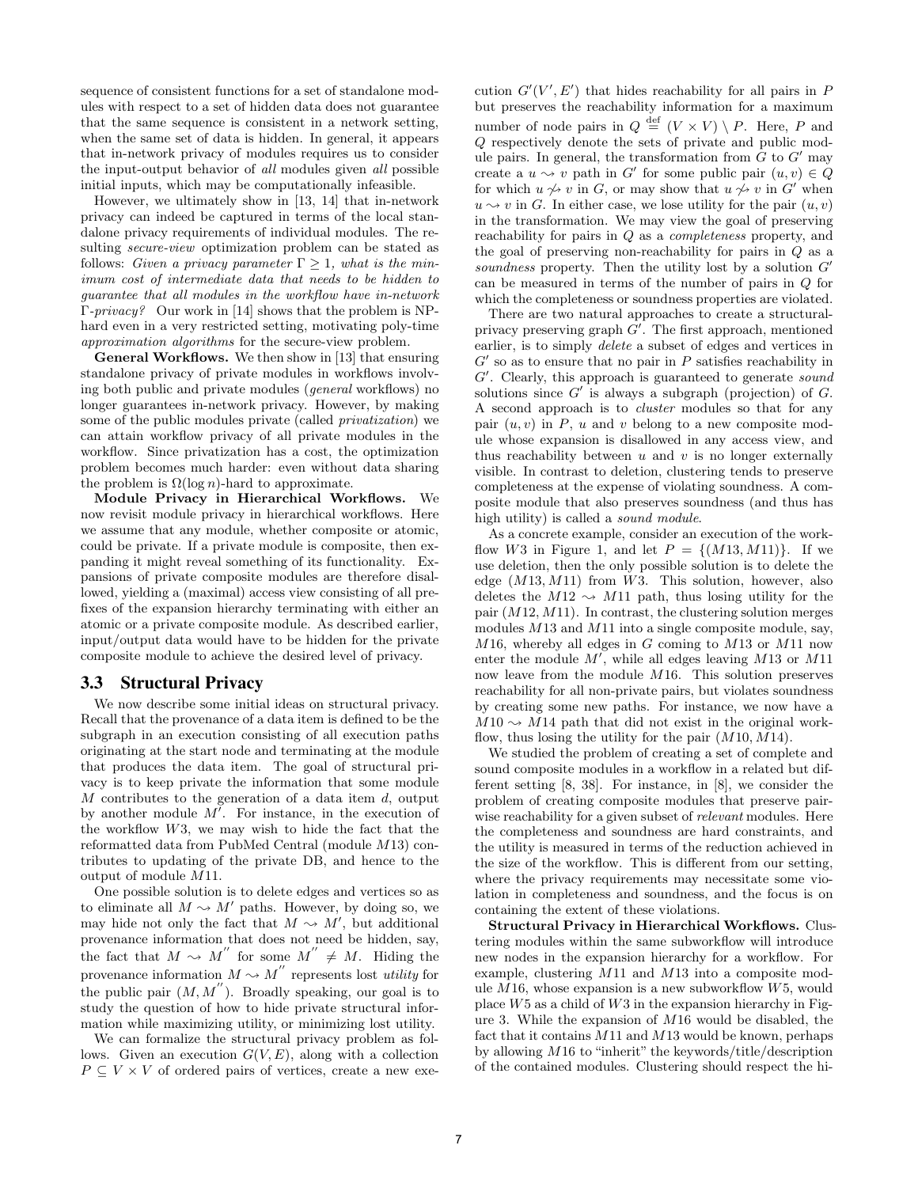sequence of consistent functions for a set of standalone modules with respect to a set of hidden data does not guarantee that the same sequence is consistent in a network setting, when the same set of data is hidden. In general, it appears that in-network privacy of modules requires us to consider the input-output behavior of all modules given all possible initial inputs, which may be computationally infeasible.

However, we ultimately show in [13, 14] that in-network privacy can indeed be captured in terms of the local standalone privacy requirements of individual modules. The resulting *secure-view* optimization problem can be stated as follows: Given a privacy parameter  $\Gamma \geq 1$ , what is the minimum cost of intermediate data that needs to be hidden to guarantee that all modules in the workflow have in-network Γ-privacy? Our work in [14] shows that the problem is NPhard even in a very restricted setting, motivating poly-time approximation algorithms for the secure-view problem.

General Workflows. We then show in [13] that ensuring standalone privacy of private modules in workflows involving both public and private modules (general workflows) no longer guarantees in-network privacy. However, by making some of the public modules private (called *privatization*) we can attain workflow privacy of all private modules in the workflow. Since privatization has a cost, the optimization problem becomes much harder: even without data sharing the problem is  $\Omega(\log n)$ -hard to approximate.

Module Privacy in Hierarchical Workflows. We now revisit module privacy in hierarchical workflows. Here we assume that any module, whether composite or atomic, could be private. If a private module is composite, then expanding it might reveal something of its functionality. Expansions of private composite modules are therefore disallowed, yielding a (maximal) access view consisting of all prefixes of the expansion hierarchy terminating with either an atomic or a private composite module. As described earlier, input/output data would have to be hidden for the private composite module to achieve the desired level of privacy.

#### **3.3 Structural Privacy**

We now describe some initial ideas on structural privacy. Recall that the provenance of a data item is defined to be the subgraph in an execution consisting of all execution paths originating at the start node and terminating at the module that produces the data item. The goal of structural privacy is to keep private the information that some module  $M$  contributes to the generation of a data item  $d$ , output by another module  $M'$ . For instance, in the execution of the workflow W3, we may wish to hide the fact that the reformatted data from PubMed Central (module M13) contributes to updating of the private DB, and hence to the output of module M11.

One possible solution is to delete edges and vertices so as to eliminate all  $M \sim M'$  paths. However, by doing so, we may hide not only the fact that  $M \sim M'$ , but additional provenance information that does not need be hidden, say, the fact that  $M \sim M''$  for some  $M'' \neq M$ . Hiding the provenance information  $M \sim M^{''}$  represents lost *utility* for the public pair  $(M, M'')$ . Broadly speaking, our goal is to study the question of how to hide private structural information while maximizing utility, or minimizing lost utility.

We can formalize the structural privacy problem as follows. Given an execution  $G(V, E)$ , along with a collection  $P \subseteq V \times V$  of ordered pairs of vertices, create a new exe-

cution  $G'(V', E')$  that hides reachability for all pairs in  $P$ but preserves the reachability information for a maximum number of node pairs in  $Q \stackrel{\text{def}}{=} (V \times V) \setminus P$ . Here, P and Q respectively denote the sets of private and public module pairs. In general, the transformation from  $G$  to  $G'$  may create a  $u \sim v$  path in G' for some public pair  $(u, v) \in Q$ for which  $u \nleftrightarrow v$  in G, or may show that  $u \nleftrightarrow v$  in G' when  $u \rightsquigarrow v$  in G. In either case, we lose utility for the pair  $(u, v)$ in the transformation. We may view the goal of preserving reachability for pairs in Q as a completeness property, and the goal of preserving non-reachability for pairs in Q as a soundness property. Then the utility lost by a solution  $G'$ can be measured in terms of the number of pairs in Q for which the completeness or soundness properties are violated.

There are two natural approaches to create a structuralprivacy preserving graph  $G'$ . The first approach, mentioned earlier, is to simply delete a subset of edges and vertices in  $G'$  so as to ensure that no pair in  $P$  satisfies reachability in G'. Clearly, this approach is guaranteed to generate sound solutions since  $G'$  is always a subgraph (projection) of  $G$ . A second approach is to cluster modules so that for any pair  $(u, v)$  in P, u and v belong to a new composite module whose expansion is disallowed in any access view, and thus reachability between  $u$  and  $v$  is no longer externally visible. In contrast to deletion, clustering tends to preserve completeness at the expense of violating soundness. A composite module that also preserves soundness (and thus has high utility) is called a sound module.

As a concrete example, consider an execution of the workflow W3 in Figure 1, and let  $P = \{(M13, M11)\}\$ . If we use deletion, then the only possible solution is to delete the edge  $(M13, M11)$  from W3. This solution, however, also deletes the  $M12 \rightarrow M11$  path, thus losing utility for the pair  $(M12, M11)$ . In contrast, the clustering solution merges modules  $M13$  and  $M11$  into a single composite module, say,  $M16$ , whereby all edges in G coming to  $M13$  or  $M11$  now enter the module  $M'$ , while all edges leaving  $M13$  or  $M11$ now leave from the module M16. This solution preserves reachability for all non-private pairs, but violates soundness by creating some new paths. For instance, we now have a  $M10 \sim M14$  path that did not exist in the original workflow, thus losing the utility for the pair  $(M10, M14)$ .

We studied the problem of creating a set of complete and sound composite modules in a workflow in a related but different setting [8, 38]. For instance, in [8], we consider the problem of creating composite modules that preserve pairwise reachability for a given subset of relevant modules. Here the completeness and soundness are hard constraints, and the utility is measured in terms of the reduction achieved in the size of the workflow. This is different from our setting, where the privacy requirements may necessitate some violation in completeness and soundness, and the focus is on containing the extent of these violations.

Structural Privacy in Hierarchical Workflows. Clustering modules within the same subworkflow will introduce new nodes in the expansion hierarchy for a workflow. For example, clustering M11 and M13 into a composite module  $M16$ , whose expansion is a new subworkflow  $W5$ , would place  $W5$  as a child of  $W3$  in the expansion hierarchy in Figure 3. While the expansion of M16 would be disabled, the fact that it contains  $M11$  and  $M13$  would be known, perhaps by allowing M16 to "inherit" the keywords/title/description of the contained modules. Clustering should respect the hi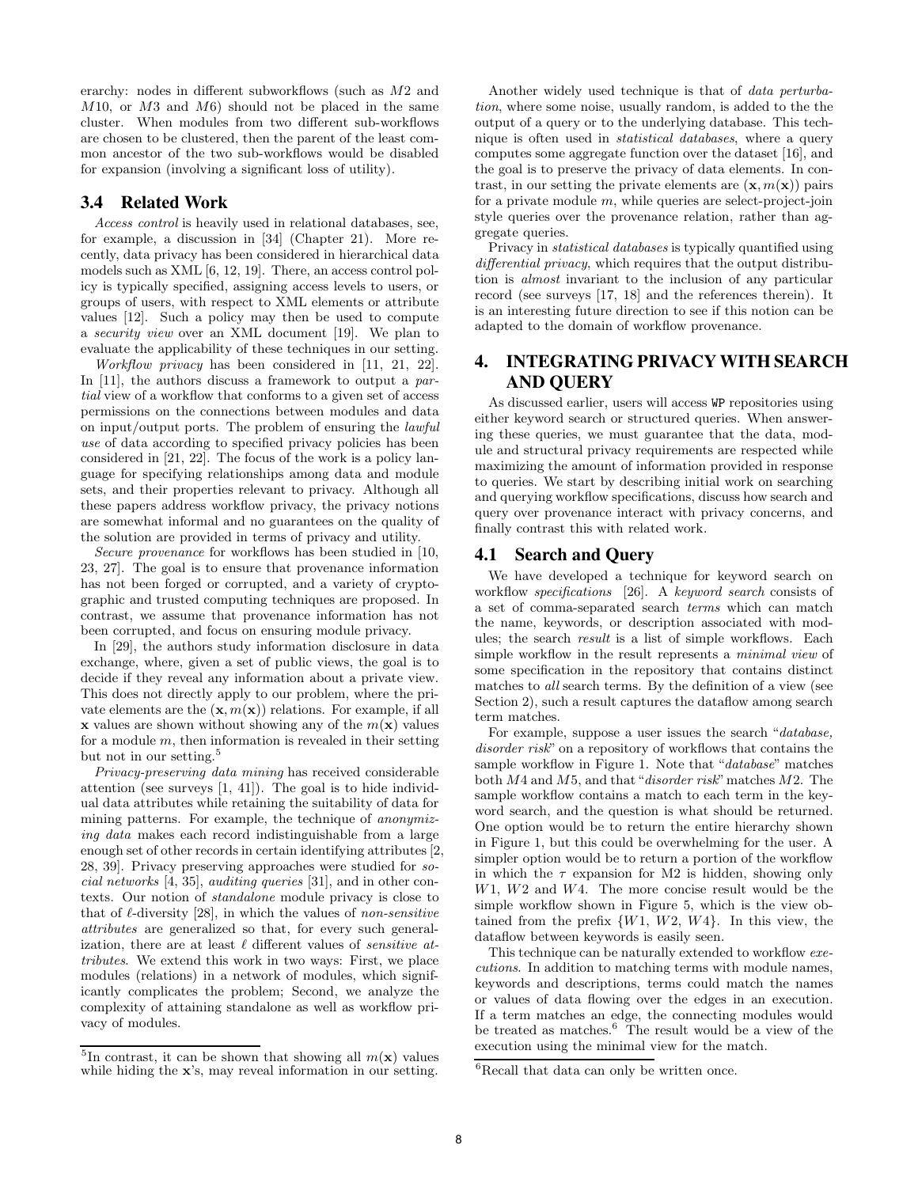erarchy: nodes in different subworkflows (such as M2 and  $M10$ , or  $M3$  and  $M6$ ) should not be placed in the same cluster. When modules from two different sub-workflows are chosen to be clustered, then the parent of the least common ancestor of the two sub-workflows would be disabled for expansion (involving a significant loss of utility).

## **3.4 Related Work**

Access control is heavily used in relational databases, see, for example, a discussion in [34] (Chapter 21). More recently, data privacy has been considered in hierarchical data models such as XML [6, 12, 19]. There, an access control policy is typically specified, assigning access levels to users, or groups of users, with respect to XML elements or attribute values [12]. Such a policy may then be used to compute a security view over an XML document [19]. We plan to evaluate the applicability of these techniques in our setting.

Workflow privacy has been considered in [11, 21, 22]. In [11], the authors discuss a framework to output a partial view of a workflow that conforms to a given set of access permissions on the connections between modules and data on input/output ports. The problem of ensuring the lawful use of data according to specified privacy policies has been considered in [21, 22]. The focus of the work is a policy language for specifying relationships among data and module sets, and their properties relevant to privacy. Although all these papers address workflow privacy, the privacy notions are somewhat informal and no guarantees on the quality of the solution are provided in terms of privacy and utility.

Secure provenance for workflows has been studied in [10, 23, 27]. The goal is to ensure that provenance information has not been forged or corrupted, and a variety of cryptographic and trusted computing techniques are proposed. In contrast, we assume that provenance information has not been corrupted, and focus on ensuring module privacy.

In [29], the authors study information disclosure in data exchange, where, given a set of public views, the goal is to decide if they reveal any information about a private view. This does not directly apply to our problem, where the private elements are the  $(\mathbf{x}, m(\mathbf{x}))$  relations. For example, if all x values are shown without showing any of the  $m(x)$  values for a module  $m$ , then information is revealed in their setting but not in our setting.<sup>5</sup>

Privacy-preserving data mining has received considerable attention (see surveys [1, 41]). The goal is to hide individual data attributes while retaining the suitability of data for mining patterns. For example, the technique of *anonymiz*ing data makes each record indistinguishable from a large enough set of other records in certain identifying attributes [2, 28, 39]. Privacy preserving approaches were studied for social networks [4, 35], auditing queries [31], and in other contexts. Our notion of standalone module privacy is close to that of  $\ell$ -diversity [28], in which the values of non-sensitive attributes are generalized so that, for every such generalization, there are at least  $\ell$  different values of *sensitive at*tributes. We extend this work in two ways: First, we place modules (relations) in a network of modules, which significantly complicates the problem; Second, we analyze the complexity of attaining standalone as well as workflow privacy of modules.

Another widely used technique is that of data perturbation, where some noise, usually random, is added to the the output of a query or to the underlying database. This technique is often used in statistical databases, where a query computes some aggregate function over the dataset [16], and the goal is to preserve the privacy of data elements. In contrast, in our setting the private elements are  $(\mathbf{x}, m(\mathbf{x}))$  pairs for a private module  $m$ , while queries are select-project-join style queries over the provenance relation, rather than aggregate queries.

Privacy in statistical databases is typically quantified using differential privacy, which requires that the output distribution is almost invariant to the inclusion of any particular record (see surveys [17, 18] and the references therein). It is an interesting future direction to see if this notion can be adapted to the domain of workflow provenance.

# **4. INTEGRATING PRIVACY WITH SEARCH AND QUERY**

As discussed earlier, users will access WP repositories using either keyword search or structured queries. When answering these queries, we must guarantee that the data, module and structural privacy requirements are respected while maximizing the amount of information provided in response to queries. We start by describing initial work on searching and querying workflow specifications, discuss how search and query over provenance interact with privacy concerns, and finally contrast this with related work.

#### **4.1 Search and Query**

We have developed a technique for keyword search on workflow specifications [26]. A keyword search consists of a set of comma-separated search terms which can match the name, keywords, or description associated with modules; the search result is a list of simple workflows. Each simple workflow in the result represents a minimal view of some specification in the repository that contains distinct matches to all search terms. By the definition of a view (see Section 2), such a result captures the dataflow among search term matches.

For example, suppose a user issues the search "database, disorder risk" on a repository of workflows that contains the sample workflow in Figure 1. Note that "database" matches both  $M4$  and  $M5$ , and that "*disorder risk*" matches  $M2$ . The sample workflow contains a match to each term in the keyword search, and the question is what should be returned. One option would be to return the entire hierarchy shown in Figure 1, but this could be overwhelming for the user. A simpler option would be to return a portion of the workflow in which the  $\tau$  expansion for M2 is hidden, showing only W1, W2 and W4. The more concise result would be the simple workflow shown in Figure 5, which is the view obtained from the prefix  $\{W1, W2, W4\}$ . In this view, the dataflow between keywords is easily seen.

This technique can be naturally extended to workflow executions. In addition to matching terms with module names, keywords and descriptions, terms could match the names or values of data flowing over the edges in an execution. If a term matches an edge, the connecting modules would be treated as matches.<sup>6</sup> The result would be a view of the execution using the minimal view for the match.

<sup>&</sup>lt;sup>5</sup>In contrast, it can be shown that showing all  $m(\mathbf{x})$  values while hiding the **x**'s, may reveal information in our setting.

 ${}^{6}$ Recall that data can only be written once.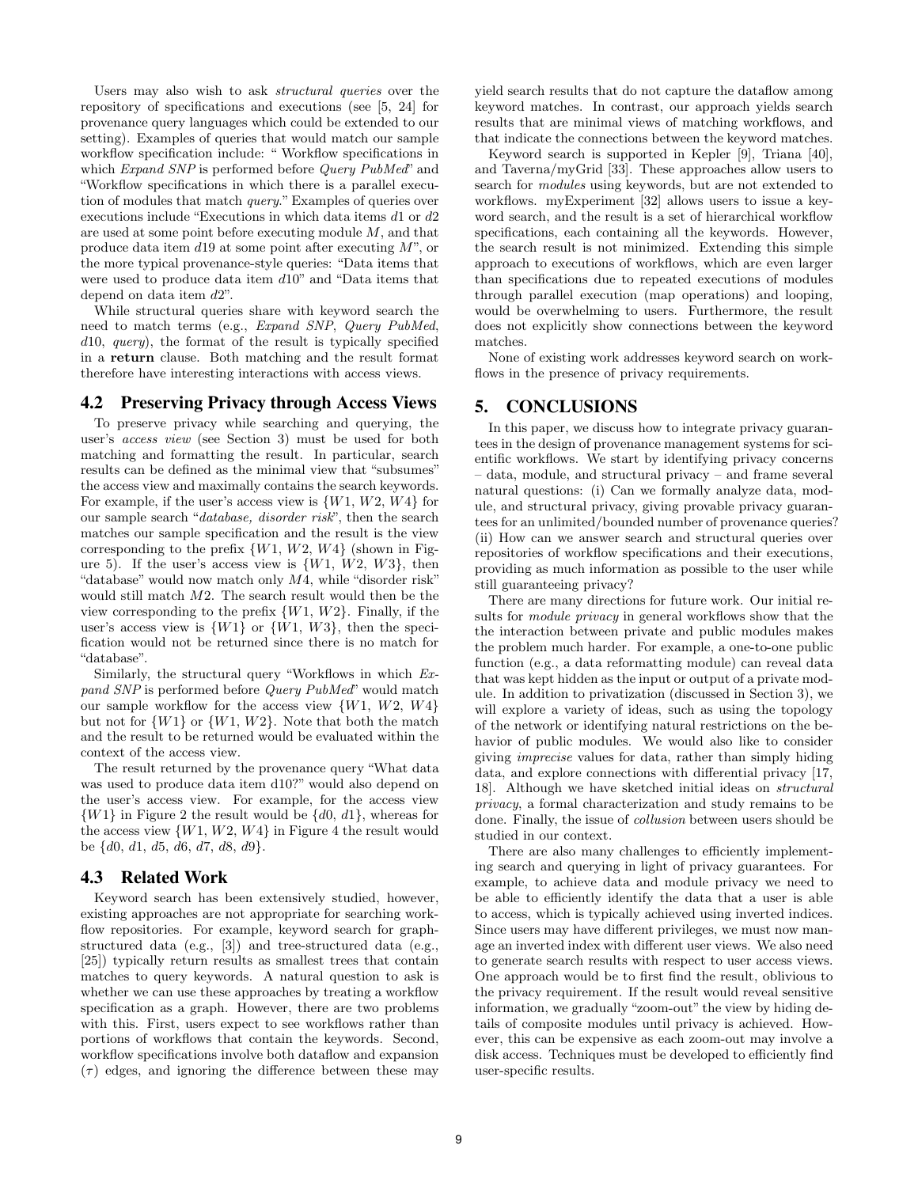Users may also wish to ask structural queries over the repository of specifications and executions (see [5, 24] for provenance query languages which could be extended to our setting). Examples of queries that would match our sample workflow specification include: " Workflow specifications in which *Expand SNP* is performed before *Query PubMed*" and "Workflow specifications in which there is a parallel execution of modules that match query." Examples of queries over executions include "Executions in which data items  $d1$  or  $d2$ are used at some point before executing module M, and that produce data item d19 at some point after executing M", or the more typical provenance-style queries: "Data items that were used to produce data item d10" and "Data items that depend on data item d2".

While structural queries share with keyword search the need to match terms (e.g., Expand SNP, Query PubMed, d10, query), the format of the result is typically specified in a return clause. Both matching and the result format therefore have interesting interactions with access views.

#### **4.2 Preserving Privacy through Access Views**

To preserve privacy while searching and querying, the user's access view (see Section 3) must be used for both matching and formatting the result. In particular, search results can be defined as the minimal view that "subsumes" the access view and maximally contains the search keywords. For example, if the user's access view is  $\{W1, W2, W4\}$  for our sample search "database, disorder risk", then the search matches our sample specification and the result is the view corresponding to the prefix  $\{W1, W2, W4\}$  (shown in Figure 5). If the user's access view is  $\{W_1, W_2, W_3\}$ , then "database" would now match only M4, while "disorder risk" would still match M2. The search result would then be the view corresponding to the prefix  $\{W_1, W_2\}$ . Finally, if the user's access view is  $\{W_1\}$  or  $\{W_1, W_3\}$ , then the specification would not be returned since there is no match for "database".

Similarly, the structural query "Workflows in which Expand SNP is performed before Query PubMed" would match our sample workflow for the access view  $\{W1, W2, W4\}$ but not for  $\{W_1\}$  or  $\{W_1, W_2\}$ . Note that both the match and the result to be returned would be evaluated within the context of the access view.

The result returned by the provenance query "What data was used to produce data item d10?" would also depend on the user's access view. For example, for the access view  $\{W1\}$  in Figure 2 the result would be  $\{d0, d1\}$ , whereas for the access view  $\{W1, W2, W4\}$  in Figure 4 the result would be  $\{d0, d1, d5, d6, d7, d8, d9\}.$ 

#### **4.3 Related Work**

Keyword search has been extensively studied, however, existing approaches are not appropriate for searching workflow repositories. For example, keyword search for graphstructured data (e.g., [3]) and tree-structured data (e.g., [25]) typically return results as smallest trees that contain matches to query keywords. A natural question to ask is whether we can use these approaches by treating a workflow specification as a graph. However, there are two problems with this. First, users expect to see workflows rather than portions of workflows that contain the keywords. Second, workflow specifications involve both dataflow and expansion  $(\tau)$  edges, and ignoring the difference between these may yield search results that do not capture the dataflow among keyword matches. In contrast, our approach yields search results that are minimal views of matching workflows, and that indicate the connections between the keyword matches.

Keyword search is supported in Kepler [9], Triana [40], and Taverna/myGrid [33]. These approaches allow users to search for modules using keywords, but are not extended to workflows. myExperiment [32] allows users to issue a keyword search, and the result is a set of hierarchical workflow specifications, each containing all the keywords. However, the search result is not minimized. Extending this simple approach to executions of workflows, which are even larger than specifications due to repeated executions of modules through parallel execution (map operations) and looping, would be overwhelming to users. Furthermore, the result does not explicitly show connections between the keyword matches.

None of existing work addresses keyword search on workflows in the presence of privacy requirements.

## **5. CONCLUSIONS**

In this paper, we discuss how to integrate privacy guarantees in the design of provenance management systems for scientific workflows. We start by identifying privacy concerns – data, module, and structural privacy – and frame several natural questions: (i) Can we formally analyze data, module, and structural privacy, giving provable privacy guarantees for an unlimited/bounded number of provenance queries? (ii) How can we answer search and structural queries over repositories of workflow specifications and their executions, providing as much information as possible to the user while still guaranteeing privacy?

There are many directions for future work. Our initial results for module privacy in general workflows show that the the interaction between private and public modules makes the problem much harder. For example, a one-to-one public function (e.g., a data reformatting module) can reveal data that was kept hidden as the input or output of a private module. In addition to privatization (discussed in Section 3), we will explore a variety of ideas, such as using the topology of the network or identifying natural restrictions on the behavior of public modules. We would also like to consider giving imprecise values for data, rather than simply hiding data, and explore connections with differential privacy [17, 18]. Although we have sketched initial ideas on structural privacy, a formal characterization and study remains to be done. Finally, the issue of collusion between users should be studied in our context.

There are also many challenges to efficiently implementing search and querying in light of privacy guarantees. For example, to achieve data and module privacy we need to be able to efficiently identify the data that a user is able to access, which is typically achieved using inverted indices. Since users may have different privileges, we must now manage an inverted index with different user views. We also need to generate search results with respect to user access views. One approach would be to first find the result, oblivious to the privacy requirement. If the result would reveal sensitive information, we gradually "zoom-out" the view by hiding details of composite modules until privacy is achieved. However, this can be expensive as each zoom-out may involve a disk access. Techniques must be developed to efficiently find user-specific results.